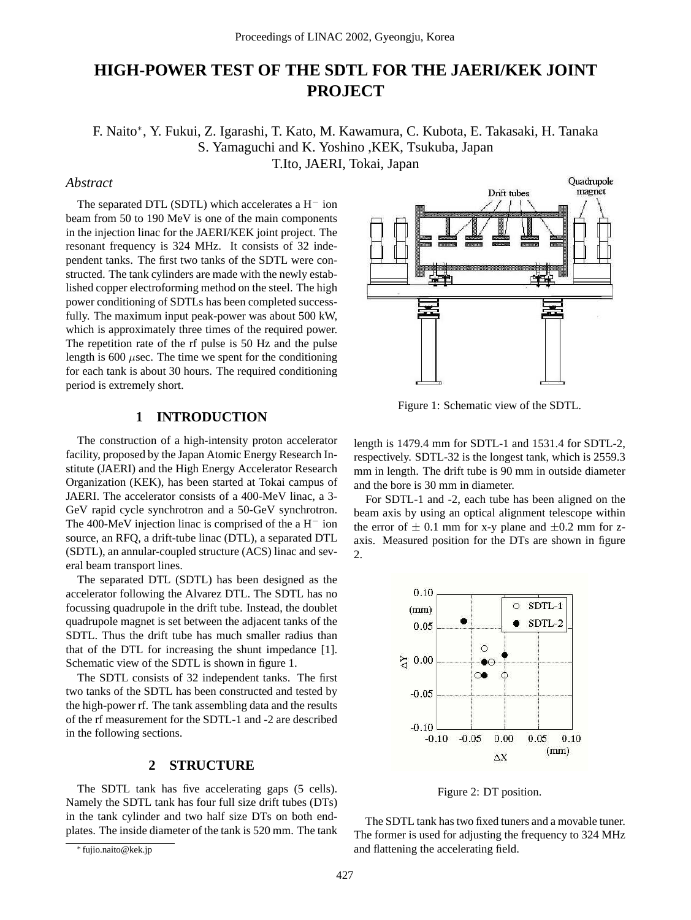# **HIGH-POWER TEST OF THE SDTL FOR THE JAERI/KEK JOINT PROJECT**

F. Naito<sup>∗</sup> , Y. Fukui, Z. Igarashi, T. Kato, M. Kawamura, C. Kubota, E. Takasaki, H. Tanaka S. Yamaguchi and K. Yoshino ,KEK, Tsukuba, Japan T.Ito, JAERI, Tokai, Japan

### *Abstract*

The separated DTL (SDTL) which accelerates a  $H^-$  ion beam from 50 to 190 MeV is one of the main components in the injection linac for the JAERI/KEK joint project. The resonant frequency is 324 MHz. It consists of 32 independent tanks. The first two tanks of the SDTL were constructed. The tank cylinders are made with the newly established copper electroforming method on the steel. The high power conditioning of SDTLs has been completed successfully. The maximum input peak-power was about 500 kW, which is approximately three times of the required power. The repetition rate of the rf pulse is 50 Hz and the pulse length is  $600 \mu$ sec. The time we spent for the conditioning for each tank is about 30 hours. The required conditioning period is extremely short.

# **1 INTRODUCTION**

The construction of a high-intensity proton accelerator facility, proposed by the Japan Atomic Energy Research Institute (JAERI) and the High Energy Accelerator Research Organization (KEK), has been started at Tokai campus of JAERI. The accelerator consists of a 400-MeV linac, a 3- GeV rapid cycle synchrotron and a 50-GeV synchrotron. The 400-MeV injection linac is comprised of the a H<sup>−</sup> ion source, an RFQ, a drift-tube linac (DTL), a separated DTL (SDTL), an annular-coupled structure (ACS) linac and several beam transport lines.

The separated DTL (SDTL) has been designed as the accelerator following the Alvarez DTL. The SDTL has no focussing quadrupole in the drift tube. Instead, the doublet quadrupole magnet is set between the adjacent tanks of the SDTL. Thus the drift tube has much smaller radius than that of the DTL for increasing the shunt impedance [1]. Schematic view of the SDTL is shown in figure 1.

The SDTL consists of 32 independent tanks. The first two tanks of the SDTL has been constructed and tested by the high-power rf. The tank assembling data and the results of the rf measurement for the SDTL-1 and -2 are described in the following sections.

# **2 STRUCTURE**

The SDTL tank has five accelerating gaps  $(5 \text{ cells}).$ Namely the SDTL tank has four full size drift tubes (DTs) in the tank cylinder and two half size DTs on both endplates. The inside diameter of the tank is 520 mm. The tank



Figure 1: Schematic view of the SDTL.

length is 1479.4 mm for SDTL-1 and 1531.4 for SDTL-2, respectively. SDTL-32 is the longest tank, which is 2559.3 mm in length. The drift tube is 90 mm in outside diameter and the bore is 30 mm in diameter.

For SDTL-1 and -2, each tube has been aligned on the beam axis by using an optical alignment telescope within the error of  $\pm$  0.1 mm for x-y plane and  $\pm$ 0.2 mm for zaxis. Measured position for the DTs are shown in figure 2.



Figure 2: DT position.

The SDTL tank has two fixed tuners and a movable tuner. The former is used for adjusting the frequency to 324 MHz and flattening the accelerating field.

<sup>∗</sup> fujio.naito@kek.jp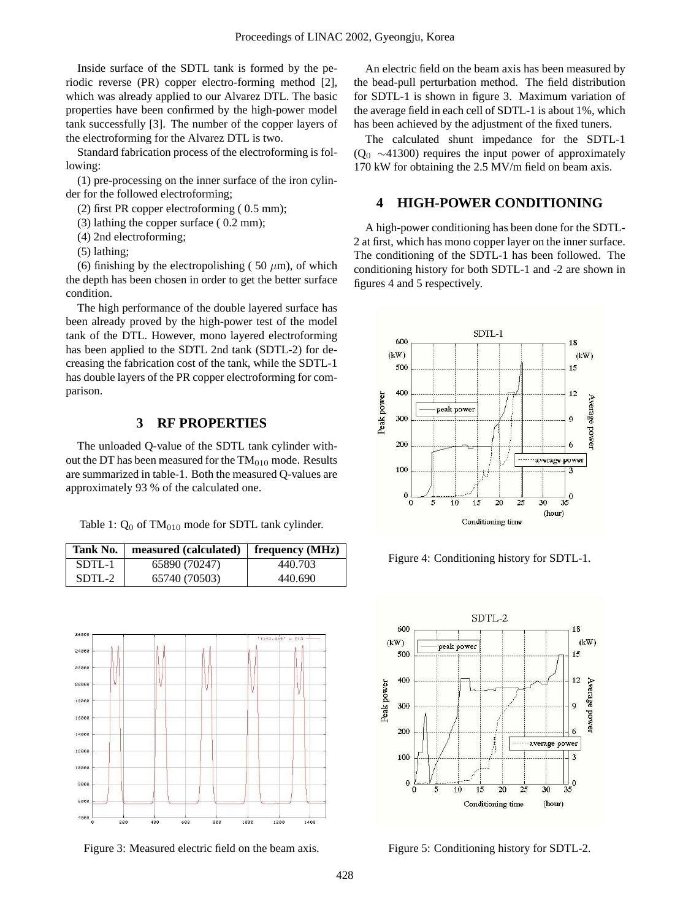Inside surface of the SDTL tank is formed by the periodic reverse (PR) copper electro-forming method [2], which was already applied to our Alvarez DTL. The basic properties have been confirmed by the high-power model tank successfully [3]. The number of the copper layers of the electroforming for the Alvarez DTL is two.

Standard fabrication process of the electroforming is following:

(1) pre-processing on the inner surface of the iron cylinder for the followed electroforming;

(2) first PR copper electroforming ( 0.5 mm);

(3) lathing the copper surface ( 0.2 mm);

(4) 2nd electroforming;

(5) lathing;

(6) finishing by the electropolishing (50  $\mu$ m), of which the depth has been chosen in order to get the better surface condition.

The high performance of the double layered surface has been already proved by the high-power test of the model tank of the DTL. However, mono layered electroforming has been applied to the SDTL 2nd tank (SDTL-2) for decreasing the fabrication cost of the tank, while the SDTL-1 has double layers of the PR copper electroforming for comparison.

# **3 RF PROPERTIES**

The unloaded Q-value of the SDTL tank cylinder without the DT has been measured for the  $TM<sub>010</sub>$  mode. Results are summarized in table-1. Both the measured Q-values are approximately 93 % of the calculated one.

Table 1:  $Q_0$  of TM<sub>010</sub> mode for SDTL tank cylinder.

| Tank No. | measured (calculated) | frequency (MHz) |
|----------|-----------------------|-----------------|
| SDTL-1   | 65890 (70247)         | 440.703         |
| SDTL-2   | 65740 (70503)         | 440.690         |



Figure 3: Measured electric field on the beam axis.

An electric field on the beam axis has been measured by the bead-pull perturbation method. The field distribution for SDTL-1 is shown in figure 3. Maximum variation of the average field in each cell of SDTL-1 is about 1%, which has been achieved by the adjustment of the fixed tuners.

The calculated shunt impedance for the SDTL-1 ( $Q_0 \sim 41300$ ) requires the input power of approximately 170 kW for obtaining the 2.5 MV/m field on beam axis.

#### **4 HIGH-POWER CONDITIONING**

A high-power conditioning has been done for the SDTL-2 at first, which has mono copper layer on the inner surface. The conditioning of the SDTL-1 has been followed. The conditioning history for both SDTL-1 and -2 are shown in figures 4 and 5 respectively.



Figure 4: Conditioning history for SDTL-1.



Figure 5: Conditioning history for SDTL-2.